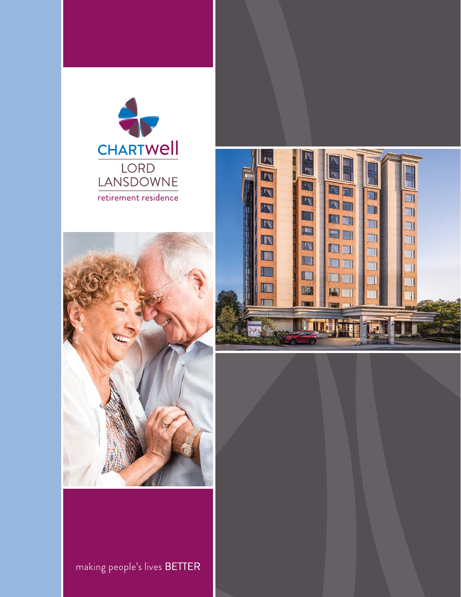





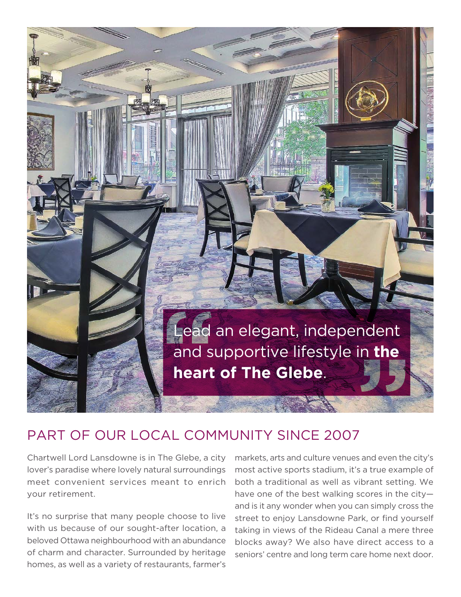

## PART OF OUR LOCAL COMMUNITY SINCE 2007

Chartwell Lord Lansdowne is in The Glebe, a city lover's paradise where lovely natural surroundings meet convenient services meant to enrich your retirement.

It's no surprise that many people choose to live with us because of our sought-after location, a beloved Ottawa neighbourhood with an abundance of charm and character. Surrounded by heritage homes, as well as a variety of restaurants, farmer's

markets, arts and culture venues and even the city's most active sports stadium, it's a true example of both a traditional as well as vibrant setting. We have one of the best walking scores in the city and is it any wonder when you can simply cross the street to enjoy Lansdowne Park, or find yourself taking in views of the Rideau Canal a mere three blocks away? We also have direct access to a seniors' centre and long term care home next door.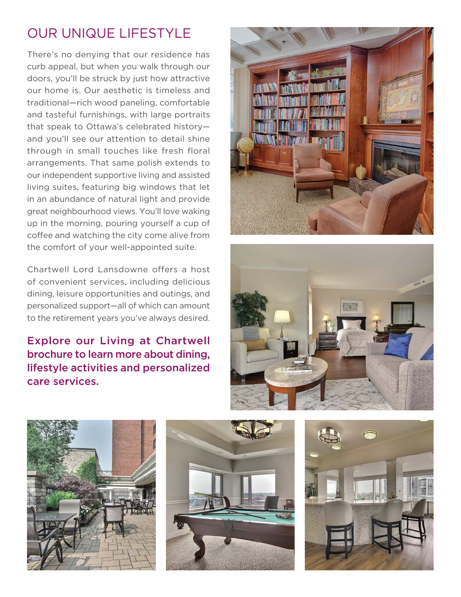# OUR UNIQUE LIFESTYLE

There's no denying that our residence has curb appeal, but when you walk through our doors, you'll be struck by just how attractive our home is. Our aesthetic is timeless and traditional—rich wood paneling, comfortable and tasteful furnishings, with large portraits that speak to Ottawa's celebrated history and you'll see our attention to detail shine through in small touches like fresh floral arrangements. That same polish extends to our independent supportive living and assisted living suites, featuring big windows that let in an abundance of natural light and provide great neighbourhood views. You'll love waking up in the morning, pouring yourself a cup of coffee and watching the city come alive from the comfort of your well-appointed suite.

Chartwell Lord Lansdowne offers a host of convenient services, including delicious dining, leisure opportunities and outings, and personalized support—all of which can amount to the retirement years you've always desired.

Explore our Living at Chartwell brochure to learn more about dining, lifestyle activities and personalized care services.









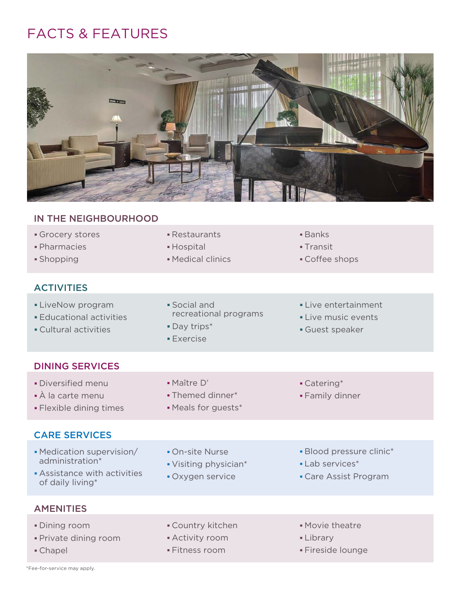## FACTS & FEATURES



#### IN THE NEIGHBOURHOOD

- Grocery stores **Exercise Exercise Exercise Contracts Banks**
- Pharmacies Hospital Transit
- 

#### **ACTIVITIES**

- 
- 
- Cultural activities **Cultural activities Guest speaker**
- 
- 
- **Shopping Contract Contract Contract Contract Contract Contract Contract Contract Contract Contract Contract Contract Contract Contract Contract Contract Contract Contract Contract Contract Contract Contract Contract Contr**
- 
- 
- 
- LiveNow program 
 Social and

 LiveNow program

 LiveNow program

 LiveNow program
 Social and
 LiveNow program
 Social and
 LiveNow program
 Social and
 LiveNow program
 Social and
 LiveNow program
 Social • Educational activities **Educational example 2 Live music events** 
	-
	- Exercise
- 
- 
- 

#### DINING SERVICES

- Diversified menu Maître D' Catering\*
- À la carte menu Themed dinner\* Family dinner
- Flexible dining times Meals for guests\*

### CARE SERVICES

- Medication supervision/ On-site Nurse Blood pressure clinic\* administration\* 
<br>
• Visiting physician\* 
• Lab services<sup>\*</sup>
	-
	-
- Assistance with activities Oxygen service Care Assist Program of daily living\*
- 
- -
- 
- 
- 

- **AMENITIES**
- Dining room **Country kitchen** Country kitchen Movie theatre
- Private dining room **Activity room** Activity room Library
	-
- 
- 
- Chapel **Fitness room** Fitness room Fireside lounge